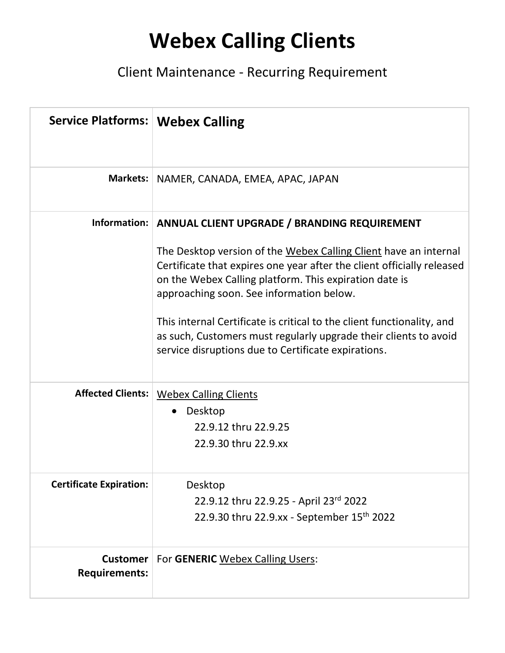## **Webex Calling Clients**

## Client Maintenance - Recurring Requirement

| Service Platforms:   Webex Calling      |                                                                                                                                                                                                                                                                                                         |
|-----------------------------------------|---------------------------------------------------------------------------------------------------------------------------------------------------------------------------------------------------------------------------------------------------------------------------------------------------------|
| Markets:                                | NAMER, CANADA, EMEA, APAC, JAPAN                                                                                                                                                                                                                                                                        |
| Information:                            | <b>ANNUAL CLIENT UPGRADE / BRANDING REQUIREMENT</b><br>The Desktop version of the Webex Calling Client have an internal<br>Certificate that expires one year after the client officially released                                                                                                       |
|                                         | on the Webex Calling platform. This expiration date is<br>approaching soon. See information below.<br>This internal Certificate is critical to the client functionality, and<br>as such, Customers must regularly upgrade their clients to avoid<br>service disruptions due to Certificate expirations. |
|                                         |                                                                                                                                                                                                                                                                                                         |
| <b>Affected Clients:</b>                | <b>Webex Calling Clients</b><br>Desktop                                                                                                                                                                                                                                                                 |
|                                         | 22.9.12 thru 22.9.25                                                                                                                                                                                                                                                                                    |
|                                         | 22.9.30 thru 22.9.xx                                                                                                                                                                                                                                                                                    |
| <b>Certificate Expiration:</b>          | Desktop                                                                                                                                                                                                                                                                                                 |
|                                         | 22.9.12 thru 22.9.25 - April 23rd 2022                                                                                                                                                                                                                                                                  |
|                                         | 22.9.30 thru 22.9.xx - September 15 <sup>th</sup> 2022                                                                                                                                                                                                                                                  |
| <b>Customer</b><br><b>Requirements:</b> | For GENERIC Webex Calling Users:                                                                                                                                                                                                                                                                        |